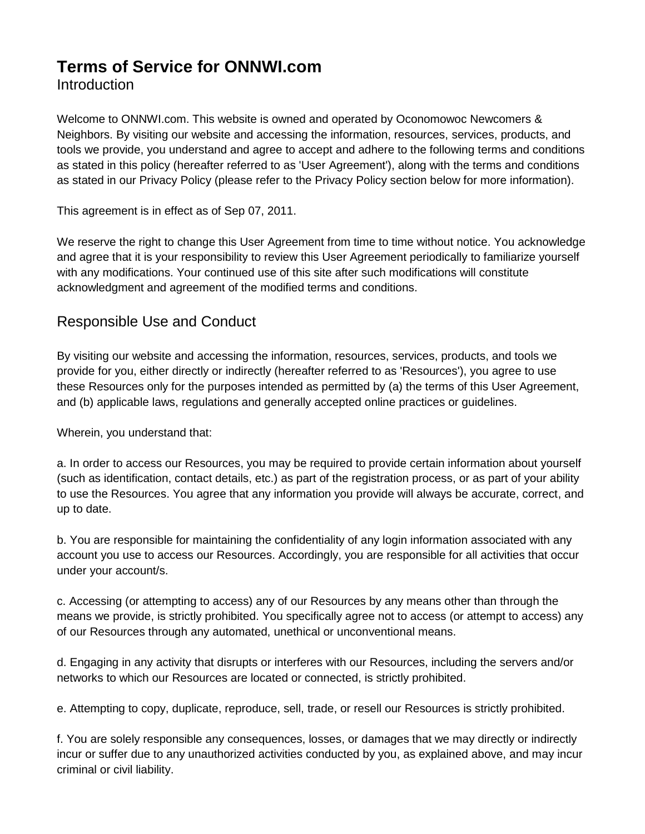# **Terms of Service for ONNWI.com Introduction**

Welcome to ONNWI.com. This website is owned and operated by Oconomowoc Newcomers & Neighbors. By visiting our website and accessing the information, resources, services, products, and tools we provide, you understand and agree to accept and adhere to the following terms and conditions as stated in this policy (hereafter referred to as 'User Agreement'), along with the terms and conditions as stated in our Privacy Policy (please refer to the Privacy Policy section below for more information).

This agreement is in effect as of Sep 07, 2011.

We reserve the right to change this User Agreement from time to time without notice. You acknowledge and agree that it is your responsibility to review this User Agreement periodically to familiarize yourself with any modifications. Your continued use of this site after such modifications will constitute acknowledgment and agreement of the modified terms and conditions.

### Responsible Use and Conduct

By visiting our website and accessing the information, resources, services, products, and tools we provide for you, either directly or indirectly (hereafter referred to as 'Resources'), you agree to use these Resources only for the purposes intended as permitted by (a) the terms of this User Agreement, and (b) applicable laws, regulations and generally accepted online practices or guidelines.

Wherein, you understand that:

a. In order to access our Resources, you may be required to provide certain information about yourself (such as identification, contact details, etc.) as part of the registration process, or as part of your ability to use the Resources. You agree that any information you provide will always be accurate, correct, and up to date.

b. You are responsible for maintaining the confidentiality of any login information associated with any account you use to access our Resources. Accordingly, you are responsible for all activities that occur under your account/s.

c. Accessing (or attempting to access) any of our Resources by any means other than through the means we provide, is strictly prohibited. You specifically agree not to access (or attempt to access) any of our Resources through any automated, unethical or unconventional means.

d. Engaging in any activity that disrupts or interferes with our Resources, including the servers and/or networks to which our Resources are located or connected, is strictly prohibited.

e. Attempting to copy, duplicate, reproduce, sell, trade, or resell our Resources is strictly prohibited.

f. You are solely responsible any consequences, losses, or damages that we may directly or indirectly incur or suffer due to any unauthorized activities conducted by you, as explained above, and may incur criminal or civil liability.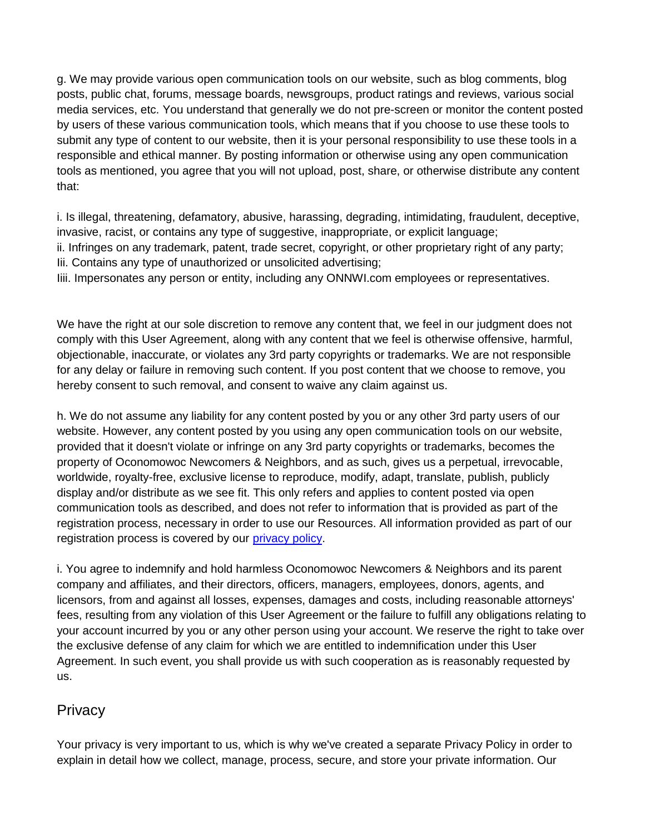g. We may provide various open communication tools on our website, such as blog comments, blog posts, public chat, forums, message boards, newsgroups, product ratings and reviews, various social media services, etc. You understand that generally we do not pre-screen or monitor the content posted by users of these various communication tools, which means that if you choose to use these tools to submit any type of content to our website, then it is your personal responsibility to use these tools in a responsible and ethical manner. By posting information or otherwise using any open communication tools as mentioned, you agree that you will not upload, post, share, or otherwise distribute any content that:

i. Is illegal, threatening, defamatory, abusive, harassing, degrading, intimidating, fraudulent, deceptive, invasive, racist, or contains any type of suggestive, inappropriate, or explicit language; ii. Infringes on any trademark, patent, trade secret, copyright, or other proprietary right of any party; Iii. Contains any type of unauthorized or unsolicited advertising;

Iiii. Impersonates any person or entity, including any ONNWI.com employees or representatives.

We have the right at our sole discretion to remove any content that, we feel in our judgment does not comply with this User Agreement, along with any content that we feel is otherwise offensive, harmful, objectionable, inaccurate, or violates any 3rd party copyrights or trademarks. We are not responsible for any delay or failure in removing such content. If you post content that we choose to remove, you hereby consent to such removal, and consent to waive any claim against us.

h. We do not assume any liability for any content posted by you or any other 3rd party users of our website. However, any content posted by you using any open communication tools on our website, provided that it doesn't violate or infringe on any 3rd party copyrights or trademarks, becomes the property of Oconomowoc Newcomers & Neighbors, and as such, gives us a perpetual, irrevocable, worldwide, royalty-free, exclusive license to reproduce, modify, adapt, translate, publish, publicly display and/or distribute as we see fit. This only refers and applies to content posted via open communication tools as described, and does not refer to information that is provided as part of the registration process, necessary in order to use our Resources. All information provided as part of our registration process is covered by our [privacy policy.](http://www.onnwi.com/documents/ONN%20Privacy%20Policy.pdf)

i. You agree to indemnify and hold harmless Oconomowoc Newcomers & Neighbors and its parent company and affiliates, and their directors, officers, managers, employees, donors, agents, and licensors, from and against all losses, expenses, damages and costs, including reasonable attorneys' fees, resulting from any violation of this User Agreement or the failure to fulfill any obligations relating to your account incurred by you or any other person using your account. We reserve the right to take over the exclusive defense of any claim for which we are entitled to indemnification under this User Agreement. In such event, you shall provide us with such cooperation as is reasonably requested by us.

### **Privacy**

Your privacy is very important to us, which is why we've created a separate Privacy Policy in order to explain in detail how we collect, manage, process, secure, and store your private information. Our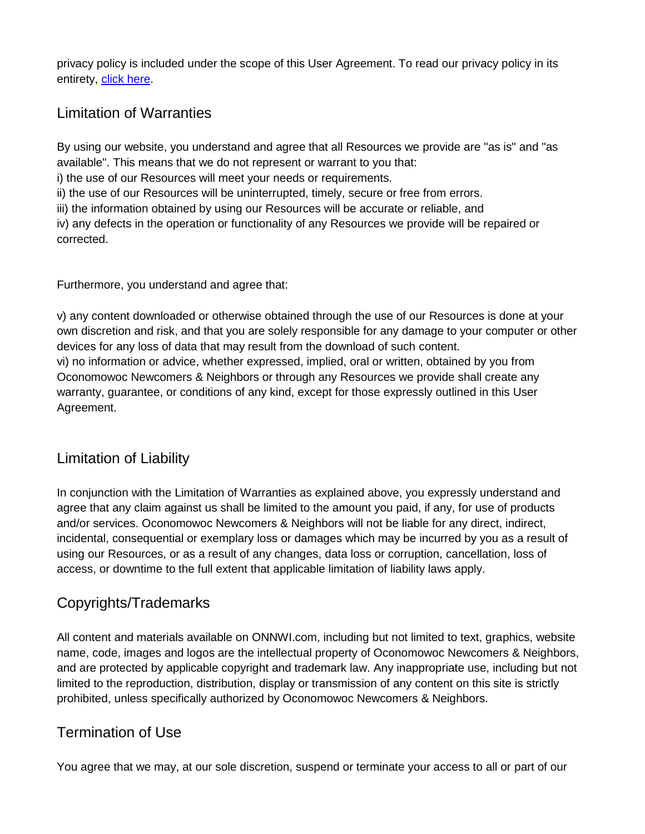privacy policy is included under the scope of this User Agreement. To read our privacy policy in its entirety, [click here.](http://www.onnwi.com/documents/ONN%20Privacy%20Policy.pdf)

## Limitation of Warranties

By using our website, you understand and agree that all Resources we provide are "as is" and "as available". This means that we do not represent or warrant to you that:

i) the use of our Resources will meet your needs or requirements.

ii) the use of our Resources will be uninterrupted, timely, secure or free from errors.

iii) the information obtained by using our Resources will be accurate or reliable, and

iv) any defects in the operation or functionality of any Resources we provide will be repaired or corrected.

Furthermore, you understand and agree that:

v) any content downloaded or otherwise obtained through the use of our Resources is done at your own discretion and risk, and that you are solely responsible for any damage to your computer or other devices for any loss of data that may result from the download of such content. vi) no information or advice, whether expressed, implied, oral or written, obtained by you from Oconomowoc Newcomers & Neighbors or through any Resources we provide shall create any warranty, guarantee, or conditions of any kind, except for those expressly outlined in this User Agreement.

### Limitation of Liability

In conjunction with the Limitation of Warranties as explained above, you expressly understand and agree that any claim against us shall be limited to the amount you paid, if any, for use of products and/or services. Oconomowoc Newcomers & Neighbors will not be liable for any direct, indirect, incidental, consequential or exemplary loss or damages which may be incurred by you as a result of using our Resources, or as a result of any changes, data loss or corruption, cancellation, loss of access, or downtime to the full extent that applicable limitation of liability laws apply.

# Copyrights/Trademarks

All content and materials available on ONNWI.com, including but not limited to text, graphics, website name, code, images and logos are the intellectual property of Oconomowoc Newcomers & Neighbors, and are protected by applicable copyright and trademark law. Any inappropriate use, including but not limited to the reproduction, distribution, display or transmission of any content on this site is strictly prohibited, unless specifically authorized by Oconomowoc Newcomers & Neighbors.

# Termination of Use

You agree that we may, at our sole discretion, suspend or terminate your access to all or part of our